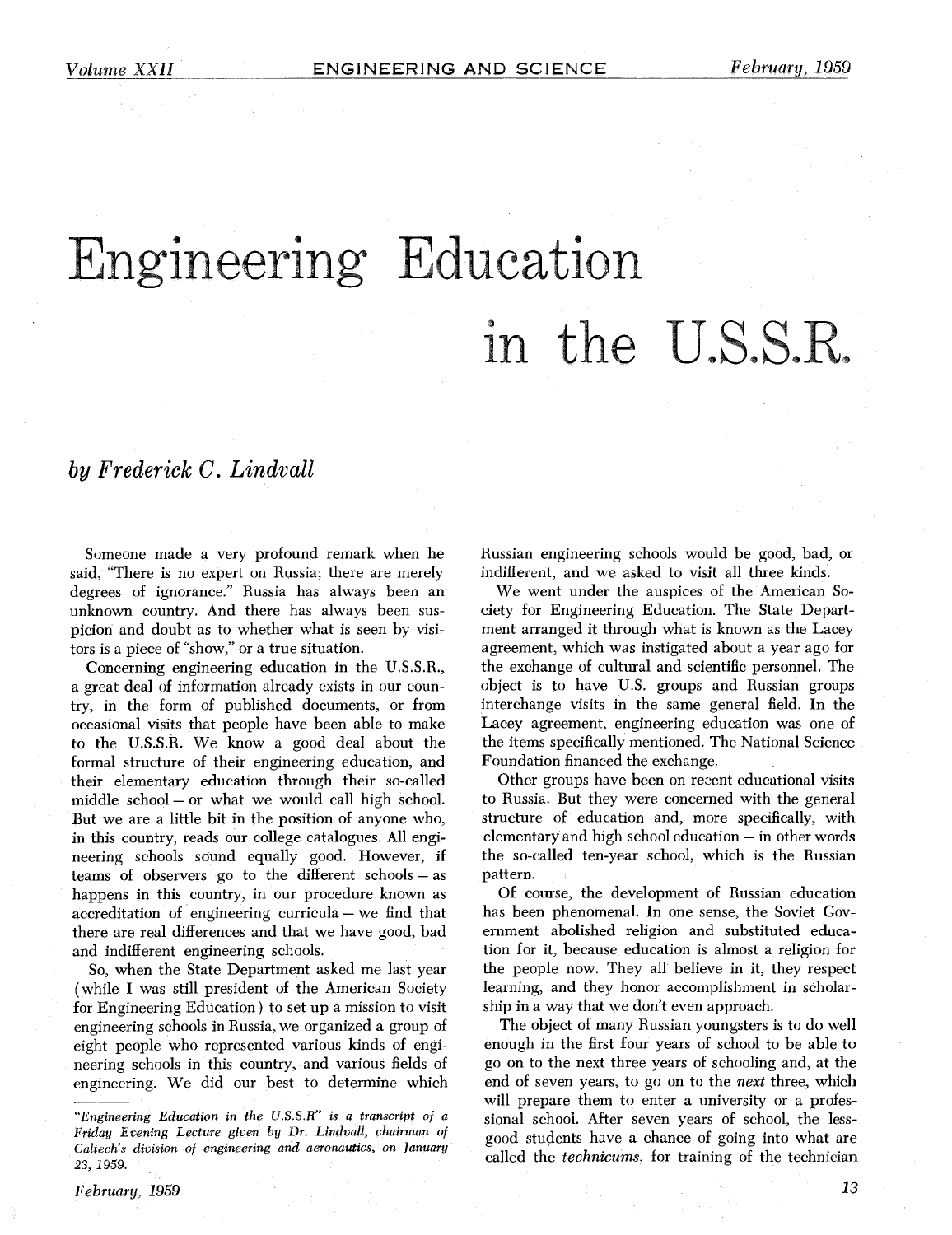# Engineering Education in the U.S.S.R.

### *by Frederick* C. *Lindvall*

Someone made a very profound remark when he said, "There is no expert on Russia; there are merely degrees of ignorance." Russia has always been an unknown country. And there has always been suspicion and doubt as to whether what is seen by visitors is a piece of "show," or a true situation.

Concerning engineering education in the U.S.S.R., a great deal of information already exists in our country, in the form of published documents, or from occasional visits that people have been able to make to the U.S.S.R. We know a good deal about the formal structure of their engineering education, and their elementary education through their so-called middle school - or what we would call high school. But we are a little bit in the position of anyone who, in this country, reads our college catalogues. All engineering schools sound equally good. However, if teams of observers go to the different schools  $-$  as happens in this country, in our procedure known as accreditation of engineering curricula – we find that there are real differences and that we have good, bad and indifferent engineering schools.

So, when the State Department asked me last year (while I was still president of the American Society for Engineering Education) to set up a mission to visit engineering schools in Russia, we organized a group of eight people who represented various kinds of engineering schools in this country, and various fields of engineering. We did our best to determine which Russian engineering schools would be good, bad, or indifferent, and we asked to visit all three kinds.

We went under the auspices of the American Society for Engineering Education. The State Department arranged it through what is known as the Lacey agreement, which was instigated about a year ago for the exchange of cultural and scientific personnel. The object is to have U.S. groups and Russian groups interchange visits in the same general field. In the Lacey agreement, engineering education was one of the items specifically mentioned. The National Science Foundation financed the exchange.

Other groups have been on recent educational visits to Russia. But they were concerned with the general structure of education and, more specifically, with elementary and high school education - in other words the so-called ten-year school, which is the Russian pattern.

Of course, the development of Russian education has been phenomenal. In one sense, the Soviet Government abolished religion and substituted education for it, because education is almost a religion for the people now. They all believe in it, they respect learning, and they honor accomplishment in scholarship in a way that we don't even approach.

The object of many Russian youngsters is to do well enough in the first four years of school to be able to go on to the next three years of schooling and, at the end of seven years, to go on to the *next* three, which will prepare them to enter a university or a professional school. After seven years of school, the lessgood students have a chance of going into what are called the *technicurn,* for training of the technician

*<sup>&</sup>quot;Engineering Education* **in** *the U.S.S.R" is a transcript of a Friday Evening Lecture given* **by** *Dr. Lindvall, chairman of Caltech's division of engineering and aeronautics, on January 23, 1959.*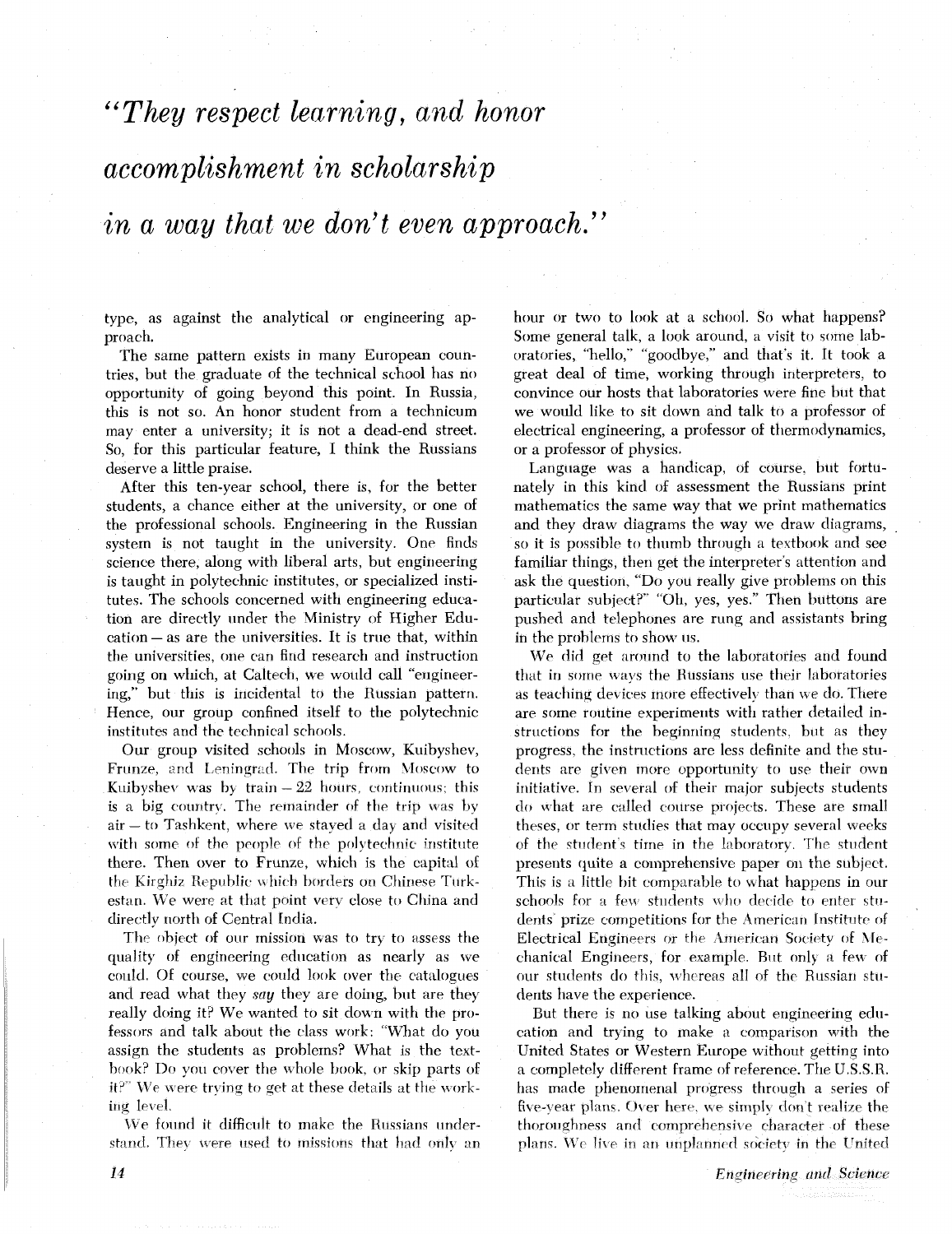*"They respect learning,* and *honor* 

## *accomplishment in scholarship*

## in *a way that* **we** *don't even approach."*

type, as against the analytical or engineering approach.

The same pattern exists in many European countries, but the graduate of the technical school has no opportunity of going beyond this point. In Russia, this is not so. An honor student from a technicum may enter a university; it is not a dead-end street. So, for this particular feature, I think the Russians deserve a little praise.

After this ten-year school, there is, for the better students, a chance either at the university, or one of the professional schools. Engineering in the Russian system is not taught in the university. One finds science there, along with liberal arts, but engineering is taught in polytechnic institutes, or specialized institutes. The schools concerned with engineering education are directly under the Ministry of Higher Edu-cation - as are the universities. It is true that, within the universities, one can find research and instruction going on which, at Caltech, we would call "engineering," but this is incidental to the Russian pattern. Hence, our group confined itself to the polytechnic institutes and the technical schools.

Our group visited schools in Moscow, Kuibyshev, Frunze, and Leningrad. The trip from Moscow to Kuibyshev was by train  $-22$  hours, continuous; this is a big country. The remainder of the trip was by  $air - to$  Tashkent, where we stayed a day and visited with some of the people of the polytechnic institute there. Then over to Frunze, which is the capital of the Kirghiz Republic **\t** hi( h borders on Chinese Turkestan. We were at that point verv close to China and directly north of Central India.

The object of our mission was to try to assess the quality of engineering education as nearly as we could. Of course, we could **look** over the catalogues and read what they *say* they are doing, but are they really doing it? We wanted to sit down with the professors and talk about the class work: "What do you assign the students as problems? What is the textbook? Do you cover the whole book, or skip parts of it?" We were trying to get at these details at the working level.

We found it difficult to make the Russians understand. They were used to missions that had only an hour or two to look at a school. So what happens? Some general talk, a look around, a visit to some laboratories, "hello," "goodbye," and that's it. It took a great deal of time, working through interpreters, to convince our hosts that laboratories were fine but that we would like to sit down and talk to a professor of electrical engineering, a professor of thermodynamics, or a professor of physics.

Language was a handicap, of course. but fortunately in this kind of assessment the Russians print mathematics the same way that we print mathematics and they draw diagrams the way we draw diagrams, so it is possible to thumb through a textbook and see familiar things, then get the interpreter's attention and ask the question. "Do you really give problems on this particular subject?" "Oh, yes, yes." Then buttons are pushed and telephones are rung and assistants bring in the problems to show us.

We did get around to the laboratories and found that in some ways the Russians use their laboratories as teaching devices more effectively than we do. There are some routine experiments with rather detailed instructions for the beginning students. hut as they progress. the instructions are less definite and the students are given more opportunity to use their own initiative. In several of their major subjects students do what are called course projects. These are small theses, or term studies that may occupy several weeks of the student's time in the laboratory. The student presents quite a comprehensive paper on the subject. This is a little bit comparable to what happens in our schools for a few students who decide to enter students' prize competitions for the American Institute of Electrical Engineers or the American Society of Mechanical Engineers, for example. But only a few of our students do this, whereas all of the Russian students have the experience.

But there is no use talking about engineering education and trying to make a comparison with the United States or Western Europe without getting into a completely different frame of reference. The U.S.S.R. has made phenomenal progress through a series of five-year plans. Over here, we simply don't realize the thoroughness and comprehensive character of these plans. We live in an unplanned society in the United

14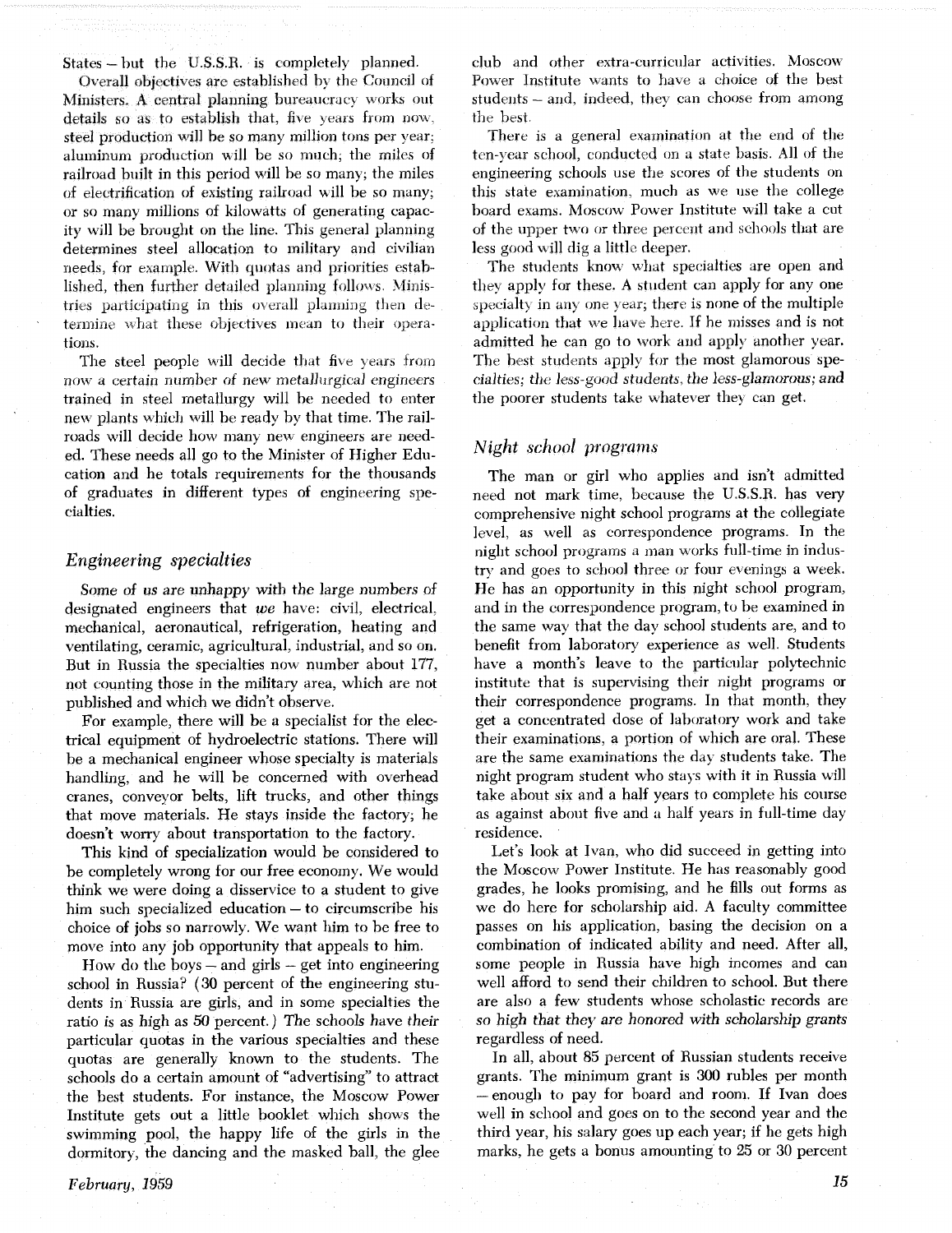States - but the U.S.S.R. is completely planned.

Overall objectives are established by the Council of Ministers. A central planning bureaucracy works out details so as to establish that, five years from now. steel production will be so many million tons per year: aluminum production will be so much, the miles of railroad built in this period will be so many; the miles of electrification of existing railroad will be so many; or so many millions of kilowatts of generating capacity will be brought on the line. This general planning determines steel allocation to military and civilian needs, for example. With quotas and priorities established, then further detailed planning follows. Ministries participating in this overall planning then determine what these objectives mean to their operations.

The steel people will decide that five years from now a certain number of new metallurgical engineers trained in steel metallurgy will be needed to enter new plants which will be ready by that time. The railroads will decide how many new engineers are needed. These needs all go to the Minister of Higher Education and he totals requirements for the thousands of graduates in different types of engineering specialties.

#### *Engineering specialties*

Some of us are unhappy with the large numbers of designated engineers that **we** have: civil, electrical. mechanical, aeronautical, refrigeration, heating and ventilating, ceramic, agricultural, industrial, and so on. But in Russia the specialties now number about 177, not counting those in the military area, which are not published and which we didn't observe.

For example, there will be a specialist for the electrical equipment of hydroelectric stations. There will be a mechanical engineer whose specialty is materials handling, and he will be concerned with overhead cranes, conveyor belts, lift trucks, and other things that move materials. He stays inside the factory; he doesn't worry about transportation to the factory.

This kind of specialization would be considered to be completely wrong for our free economy. We would think we were doing a disservice to a student to give him such specialized education - to circumscribe his choice of jobs so narrowly. We want him to be free to move into any job opportunity that appeals to him.

How do the boys  $-$  and girls  $-$  get into engineering school in Russia? **(30** percent of the engineering students in Russia are girls, and in some specialties the ratio is as high as *50* percent.) The schools have their particular quotas in the various specialties and these quotas are generally known to the students. The schools do a certain amount of "advertising" to attract the best students. For instance, the Moscow Power Institute gets out a little booklet which shows the swimming pool, the happy life of the girls in the dormitory, the dancing and the masked ball, the glee

club and other extra-curricular activities. Moscow Power Institute wants to have a choice of the best students – and, indeed, they can choose from among the best.

There is a general examination at the end of the ten-year school, conducted on a state basis. All of the engineering schools use the scores of the students on this state examination, much as we use the college board exams. Moscow Power Institute will take a cut of the upper two or three percent and schools that are less good will dig a little deeper.

The students know, what specialties are open and they apply for these. A student can apply for any one specialty in any one year; there is none of the multiple application that we have here. If he misses and is not admitted he can go to work and apply another year. The best students apply for the most glamorous specialties; the less-good students, the less-glamorous; and the poorer students take whatever they can get.

#### *Night school programs,*

The man or girl who applies and isn't admitted need not mark time, because the U.S.S.R. has very comprehensive night school programs at the collegiate level. as well as correspondence programs. In the night school programs a man works full-time in industry and goes to school three or four evenings a week. He has an opportunity in this night school program, and in the correspondence program, to be examined in the same way that the day school students are, and to benefit from laboratory experience as well. Students have a month's leave to the particular polytechnic institute that is supervising their night programs or their correspondence programs. In that month, they get a concentrated dose of laboratory work and take their examinations, a portion of which are oral. These are the same examinations the daj students take. The night program student who stays with it in Russia will take about six and a half years to complete his course as against about five and a half years in full-time day residence.

Let's look at Ivan, who did succeed in getting into the Moscow Power Institute. He has reasonably good grades, he looks promising, and he fills out forms as we do here for scholarship aid. A faculty committee passes on his application, basing the decision on a combination of indicated ability and need. After all, some people in Russia have high incomes and can well afford to send their children to school. But there are also a few students whose scholastic records are so high that they are honored with scholarship grants regardless of need.

In all, about 85 percent of Russian students receive grants. The minimum grant is *300* rubles per month -enough to pay for board and room. If Ivan does well in school and goes on to the second year and the third year, his salary goes up each year; if he gets high marks, he gets a bonus amounting to 25 or 30 percent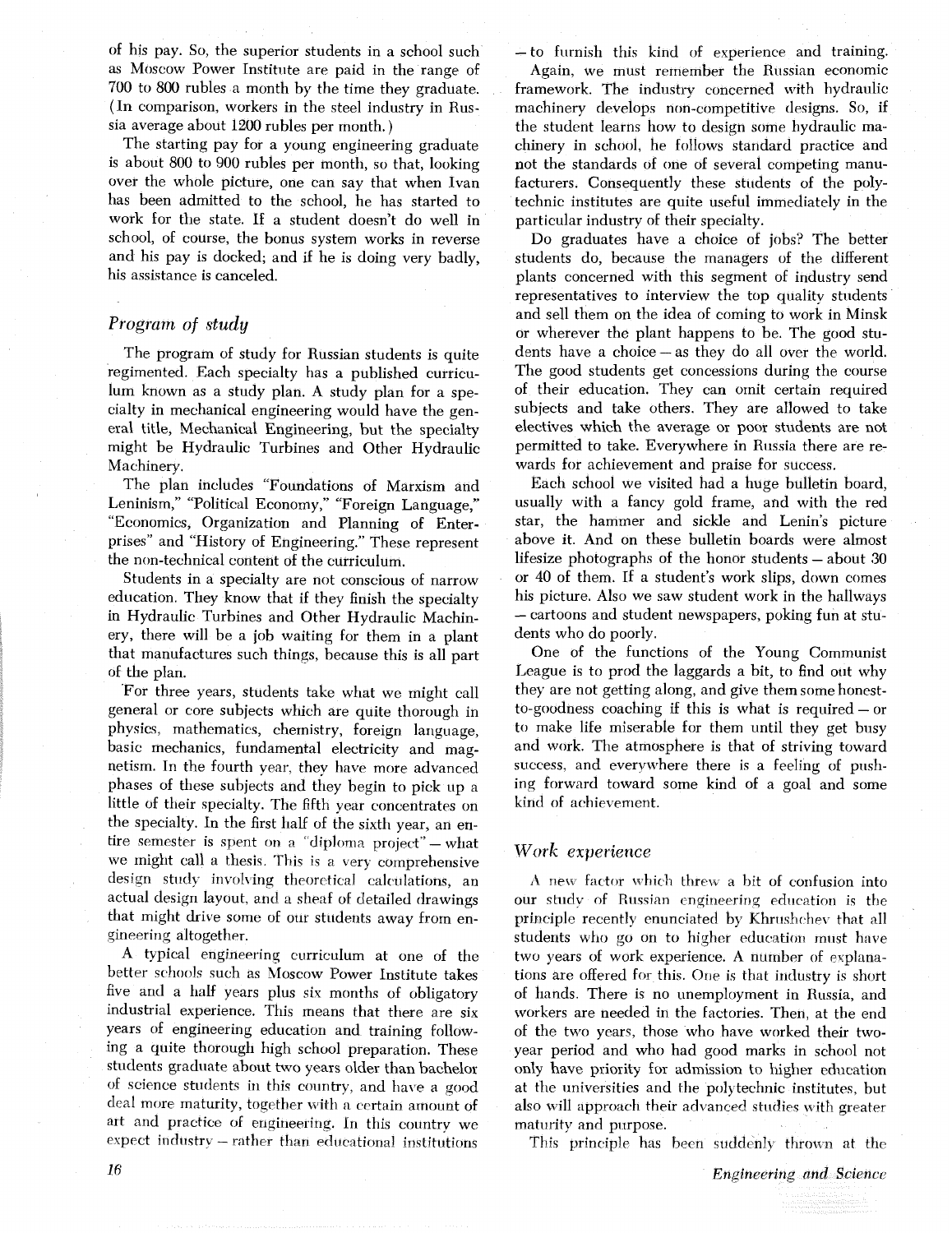of his pay. So, the superior students in a school such as Moscow Power Institute are paid in the range of 700 to 800 rubles a month by the time they graduate. (In comparison, workers in the steel industry in Russia average about 1200 rubles per month. )

The starting pay for a young engineering graduate is about 800 to 900 rubles per month, so that, looking over the whole picture, one can say that when Ivan has been admitted to the school, he has started to work for the state. If a student doesn't do well in school, of course, the bonus system works in reverse and his pay is docked; and if he is doing very badly, his assistance is canceled.

#### *Program* of **study**

The program of study for Russian students is quite regimented. Each specialty has a published curriculum known as a study plan. A study plan for a specialty in mechanical engineering would have the general title, Mechanical Engineering, but the specialty might be Hydraulic Turbines and Other Hydraulic Machinery.

The plan includes "Foundations of Marxism and Leninism," "Political Economy," "Foreign Language," "Economics, Organization and Planning of Enterprises" and "History of Engineering." These represent the non-technical content of the curriculum.

Students in a specialty are not conscious of narrow education. They know that if they finish the specialty in Hydraulic Turbines and Other Hydraulic Machinery, there will be a job waiting for them in a plant that manufactures such things, because this is all part of the plan.

For three years, students take what we might call general or core subjects which are quite thorough in physics, mathematics, chemistry, foreign language, basic mechanics, fundamental electricity and magnetism. In the fourth year, they have more advanced phases of these subjects and they begin to pick up a little of their specialty. The fifth year concentrates on the specialty. In the first half of the sixth year, an entire semester is spent on a "diploma project" - what we might call a thesis. This is a very comprehensive design study involving theoretical calculations, an actual design layout, and a sheaf of detailed drawings that might drive some of our students away from en-9ineering altogether.

A typical engineerinq curriculum at one of the better schools such as Moscow Power Institute takes five and a half years plus six months of obligatory industrial experience. This means that there are six years of engineering education and training following a quite thorough high school preparation. These students graduate about two years older than bachelor of science students in this country, and have a good deal more maturity, together with a certain amount of art and practice of engineering. In this country we expect industry - rather than educational institutions -to furnish this kind of experience and training.

Again, we must remember the Russian economic framework. The industry concerned with hydraulic machinery develops non-competitive designs. So, if the student learns how to design some hydraulic machinery in school, he follows standard practice and not the standards of one of several competing manufacturers. Consequently these students of the polytechnic institutes are quite useful immediately in the particular industry of their specialty.

Do graduates have a choice of jobs? The better students do, because the managers of the different plants concerned with this segment of industry send representatives to interview the top quality students and sell them on the idea of coming to work in Minsk or wherever the plant happens to be. The good students have a choice - as they do all over the world. The good students get concessions during the course of their education. They can omit certain required subjects and take others. They are allowed to take electives which the average or poor students are not permitted to take. Everywhere in Russia there are rewards for achievement and praise for success.

Each school we visited had a huge bulletin board, usually with a fancy gold frame, and with the red star, the hammer and sickle and Lenin's picture above it. And on these bulletin boards were almost lifesize photographs of the honor students - about 30 or 40 of them. If a student's work slips, down comes his picture. Also we saw student work in the hallways - cartoons and student newspapers, poking fun at students who do poorly.

One of the functions of the Young Communist League is to prod the laggards a bit, to find out why they are not getting along, and give them some honest-<br>to-goodness coaching if this is what is required – or to make life miserable for them until they get busy and work. The atmosphere is that of striving toward success, and everywhere there is a feeling of pushing forward toward some kind of a goal and some kind of achievement.

#### Work *experience*

A new factor which threw a bit of confusion into our study of Russian engineering education is the principle recently enunciated by Khrushchev that all students who go on to higher education must have two years of work experience. A number of explanations are offered for this. One is that industry is short of hands. There is no unemployment in Russia, and workers are needed in the factories. Then, at the end of the two years, those who have worked their twoyear period and who had good marks in school not only have priority for admission to higher education at the universities and the polytechnic institutes, but also will approach their advanced studies with greater maturity and purpose.

This principle has been suddenly thrown at the